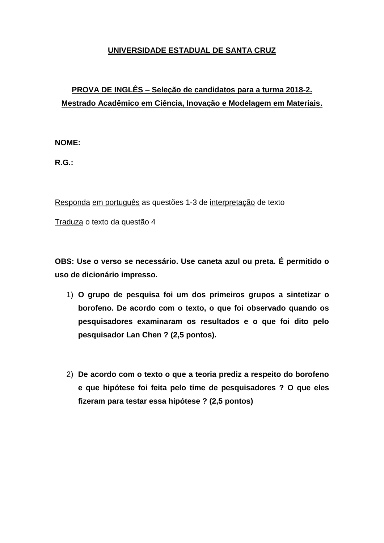## **UNIVERSIDADE ESTADUAL DE SANTA CRUZ**

## **PROVA DE INGLÊS – Seleção de candidatos para a turma 2018-2. Mestrado Acadêmico em Ciência, Inovação e Modelagem em Materiais.**

**NOME:**

**R.G.:** 

Responda em português as questões 1-3 de interpretação de texto

Traduza o texto da questão 4

**OBS: Use o verso se necessário. Use caneta azul ou preta. É permitido o uso de dicionário impresso.**

- 1) **O grupo de pesquisa foi um dos primeiros grupos a sintetizar o borofeno. De acordo com o texto, o que foi observado quando os pesquisadores examinaram os resultados e o que foi dito pelo pesquisador Lan Chen ? (2,5 pontos).**
- 2) **De acordo com o texto o que a teoria prediz a respeito do borofeno e que hipótese foi feita pelo time de pesquisadores ? O que eles fizeram para testar essa hipótese ? (2,5 pontos)**